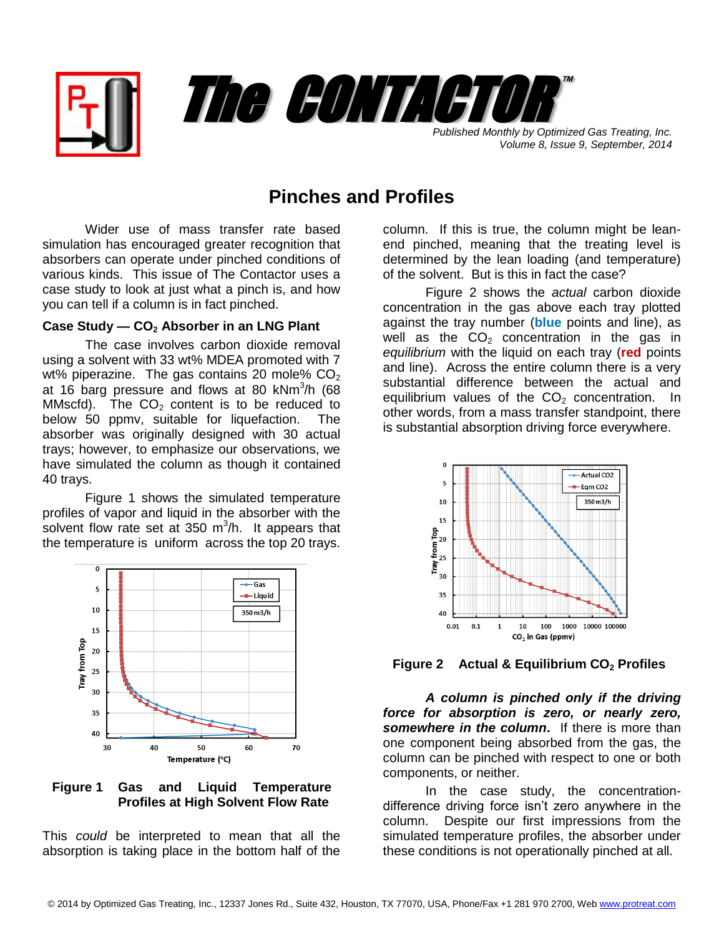



*Volume 8, Issue 9, September, 2014*

## **Pinches and Profiles**

Wider use of mass transfer rate based simulation has encouraged greater recognition that absorbers can operate under pinched conditions of various kinds. This issue of The Contactor uses a case study to look at just what a pinch is, and how you can tell if a column is in fact pinched.

## **Case Study — CO<sup>2</sup> Absorber in an LNG Plant**

The case involves carbon dioxide removal using a solvent with 33 wt% MDEA promoted with 7 wt% piperazine. The gas contains 20 mole%  $CO<sub>2</sub>$ at 16 barg pressure and flows at 80 kNm<sup>3</sup>/h (68 MMscfd). The  $CO<sub>2</sub>$  content is to be reduced to below 50 ppmv, suitable for liquefaction. The absorber was originally designed with 30 actual trays; however, to emphasize our observations, we have simulated the column as though it contained 40 trays.

Figure 1 shows the simulated temperature profiles of vapor and liquid in the absorber with the solvent flow rate set at 350  $m^3/h$ . It appears that the temperature is uniform across the top 20 trays.



**Figure 1 Gas and Liquid Temperature Profiles at High Solvent Flow Rate**

This *could* be interpreted to mean that all the absorption is taking place in the bottom half of the

column. If this is true, the column might be leanend pinched, meaning that the treating level is determined by the lean loading (and temperature) of the solvent. But is this in fact the case?

Figure 2 shows the *actual* carbon dioxide concentration in the gas above each tray plotted against the tray number (**blue** points and line), as well as the  $CO<sub>2</sub>$  concentration in the gas in *equilibrium* with the liquid on each tray (**red** points and line). Across the entire column there is a very substantial difference between the actual and equilibrium values of the  $CO<sub>2</sub>$  concentration. In other words, from a mass transfer standpoint, there is substantial absorption driving force everywhere.



**Figure 2 Actual & Equilibrium CO<sup>2</sup> Profiles**

*A column is pinched only if the driving force for absorption is zero, or nearly zero, somewhere in the column***.** If there is more than one component being absorbed from the gas, the column can be pinched with respect to one or both components, or neither.

In the case study, the concentrationdifference driving force isn't zero anywhere in the column. Despite our first impressions from the simulated temperature profiles, the absorber under these conditions is not operationally pinched at all.